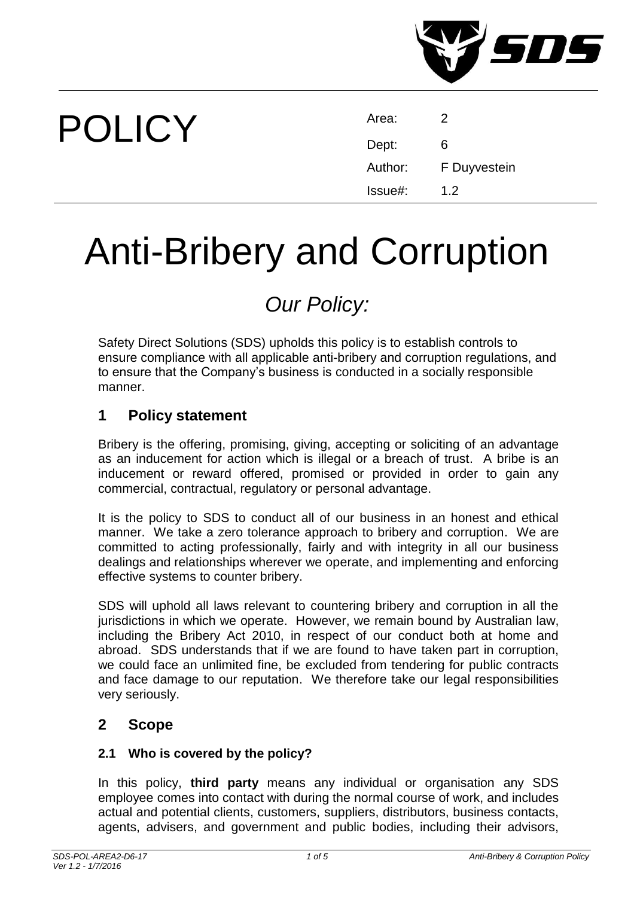

# POLICY

| Area:   | 2            |
|---------|--------------|
| Dept:   | 6            |
| Author: | F Duyvestein |
| Issue#: | 1.2          |

# Anti-Bribery and Corruption

# *Our Policy:*

Safety Direct Solutions (SDS) upholds this policy is to establish controls to ensure compliance with all applicable anti-bribery and corruption regulations, and to ensure that the Company's business is conducted in a socially responsible manner.

### **1 Policy statement**

Bribery is the offering, promising, giving, accepting or soliciting of an advantage as an inducement for action which is illegal or a breach of trust. A bribe is an inducement or reward offered, promised or provided in order to gain any commercial, contractual, regulatory or personal advantage.

It is the policy to SDS to conduct all of our business in an honest and ethical manner. We take a zero tolerance approach to bribery and corruption. We are committed to acting professionally, fairly and with integrity in all our business dealings and relationships wherever we operate, and implementing and enforcing effective systems to counter bribery.

SDS will uphold all laws relevant to countering bribery and corruption in all the jurisdictions in which we operate. However, we remain bound by Australian law, including the Bribery Act 2010, in respect of our conduct both at home and abroad. SDS understands that if we are found to have taken part in corruption, we could face an unlimited fine, be excluded from tendering for public contracts and face damage to our reputation. We therefore take our legal responsibilities very seriously.

#### **2 Scope**

#### **2.1 Who is covered by the policy?**

In this policy, **third party** means any individual or organisation any SDS employee comes into contact with during the normal course of work, and includes actual and potential clients, customers, suppliers, distributors, business contacts, agents, advisers, and government and public bodies, including their advisors,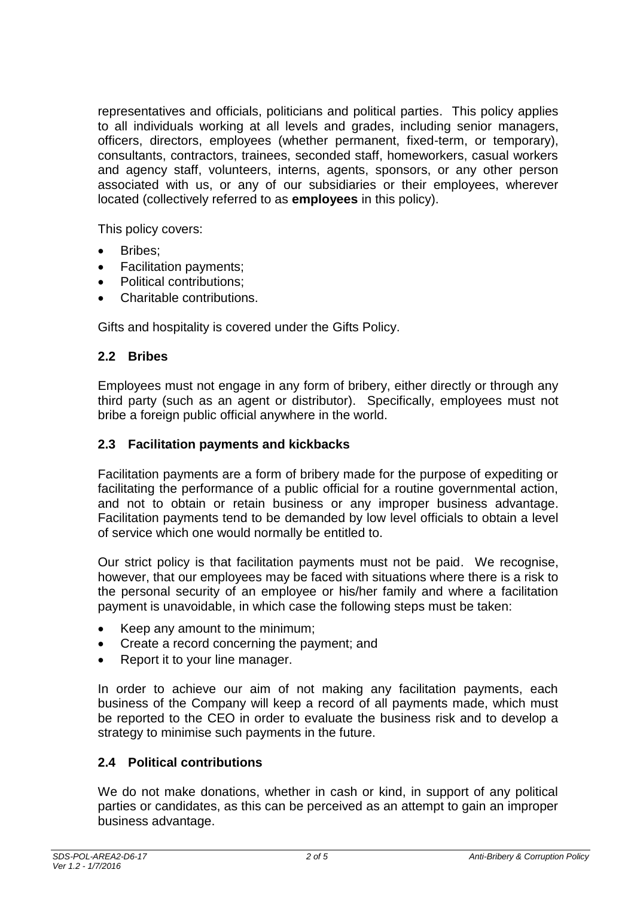representatives and officials, politicians and political parties. This policy applies to all individuals working at all levels and grades, including senior managers, officers, directors, employees (whether permanent, fixed-term, or temporary), consultants, contractors, trainees, seconded staff, homeworkers, casual workers and agency staff, volunteers, interns, agents, sponsors, or any other person associated with us, or any of our subsidiaries or their employees, wherever located (collectively referred to as **employees** in this policy).

This policy covers:

- Bribes;
- Facilitation payments;
- Political contributions;
- Charitable contributions.

Gifts and hospitality is covered under the [Gifts Policy.](file:///S:/SHARED%20DATA/A4%20IMS/D14%20QA/POLICIES/A2%20Admin/Gifts%20Policy%20POL-10.pdf)

#### **2.2 Bribes**

Employees must not engage in any form of bribery, either directly or through any third party (such as an agent or distributor). Specifically, employees must not bribe a foreign public official anywhere in the world.

#### **2.3 Facilitation payments and kickbacks**

Facilitation payments are a form of bribery made for the purpose of expediting or facilitating the performance of a public official for a routine governmental action, and not to obtain or retain business or any improper business advantage. Facilitation payments tend to be demanded by low level officials to obtain a level of service which one would normally be entitled to.

Our strict policy is that facilitation payments must not be paid. We recognise, however, that our employees may be faced with situations where there is a risk to the personal security of an employee or his/her family and where a facilitation payment is unavoidable, in which case the following steps must be taken:

- Keep any amount to the minimum;
- Create a record concerning the payment; and
- Report it to your line manager.

In order to achieve our aim of not making any facilitation payments, each business of the Company will keep a record of all payments made, which must be reported to the CEO in order to evaluate the business risk and to develop a strategy to minimise such payments in the future.

#### **2.4 Political contributions**

We do not make donations, whether in cash or kind, in support of any political parties or candidates, as this can be perceived as an attempt to gain an improper business advantage.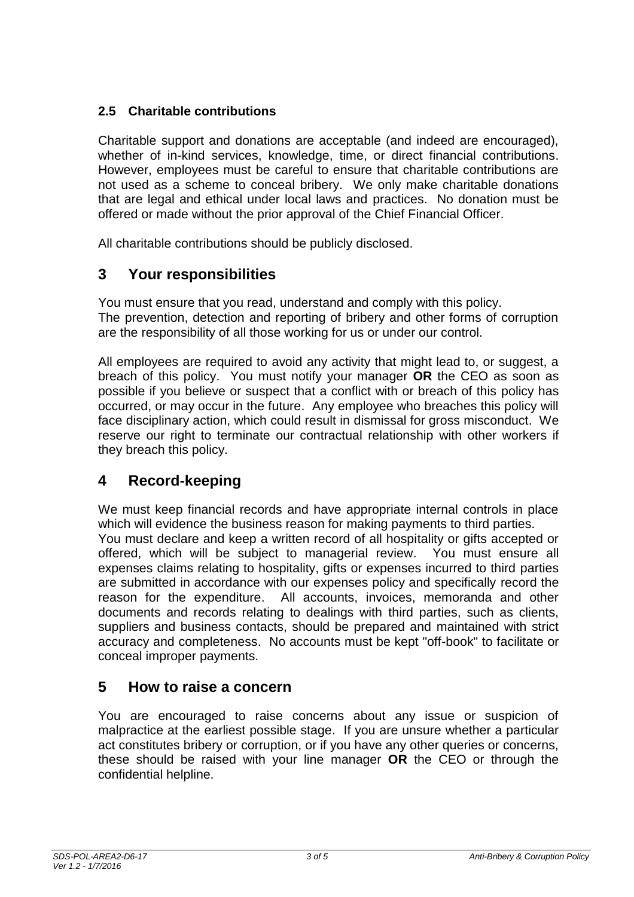#### **2.5 Charitable contributions**

Charitable support and donations are acceptable (and indeed are encouraged), whether of in-kind services, knowledge, time, or direct financial contributions. However, employees must be careful to ensure that charitable contributions are not used as a scheme to conceal bribery. We only make charitable donations that are legal and ethical under local laws and practices. No donation must be offered or made without the prior approval of the Chief Financial Officer.

All charitable contributions should be publicly disclosed.

### **3 Your responsibilities**

You must ensure that you read, understand and comply with this policy. The prevention, detection and reporting of bribery and other forms of corruption are the responsibility of all those working for us or under our control.

All employees are required to avoid any activity that might lead to, or suggest, a breach of this policy. You must notify your manager **OR** the CEO as soon as possible if you believe or suspect that a conflict with or breach of this policy has occurred, or may occur in the future. Any employee who breaches this policy will face disciplinary action, which could result in dismissal for gross misconduct. We reserve our right to terminate our contractual relationship with other workers if they breach this policy.

## **4 Record-keeping**

We must keep financial records and have appropriate internal controls in place which will evidence the business reason for making payments to third parties. You must declare and keep a written record of all hospitality or gifts accepted or offered, which will be subject to managerial review. You must ensure all expenses claims relating to hospitality, gifts or expenses incurred to third parties are submitted in accordance with our expenses policy and specifically record the reason for the expenditure. All accounts, invoices, memoranda and other documents and records relating to dealings with third parties, such as clients, suppliers and business contacts, should be prepared and maintained with strict accuracy and completeness. No accounts must be kept "off-book" to facilitate or conceal improper payments.

#### **5 How to raise a concern**

You are encouraged to raise concerns about any issue or suspicion of malpractice at the earliest possible stage. If you are unsure whether a particular act constitutes bribery or corruption, or if you have any other queries or concerns, these should be raised with your line manager **OR** the CEO or through the confidential helpline.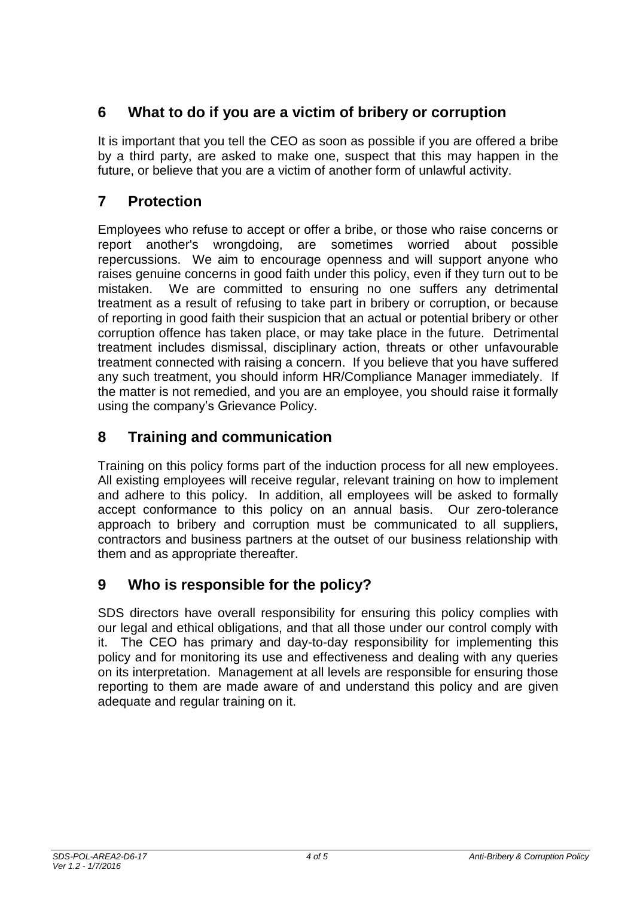# **6 What to do if you are a victim of bribery or corruption**

It is important that you tell the CEO as soon as possible if you are offered a bribe by a third party, are asked to make one, suspect that this may happen in the future, or believe that you are a victim of another form of unlawful activity.

# **7 Protection**

Employees who refuse to accept or offer a bribe, or those who raise concerns or report another's wrongdoing, are sometimes worried about possible repercussions. We aim to encourage openness and will support anyone who raises genuine concerns in good faith under this policy, even if they turn out to be mistaken. We are committed to ensuring no one suffers any detrimental treatment as a result of refusing to take part in bribery or corruption, or because of reporting in good faith their suspicion that an actual or potential bribery or other corruption offence has taken place, or may take place in the future. Detrimental treatment includes dismissal, disciplinary action, threats or other unfavourable treatment connected with raising a concern. If you believe that you have suffered any such treatment, you should inform HR/Compliance Manager immediately. If the matter is not remedied, and you are an employee, you should raise it formally using the company's Grievance Policy.

# **8 Training and communication**

Training on this policy forms part of the induction process for all new employees. All existing employees will receive regular, relevant training on how to implement and adhere to this policy. In addition, all employees will be asked to formally accept conformance to this policy on an annual basis. Our zero-tolerance approach to bribery and corruption must be communicated to all suppliers, contractors and business partners at the outset of our business relationship with them and as appropriate thereafter.

# **9 Who is responsible for the policy?**

SDS directors have overall responsibility for ensuring this policy complies with our legal and ethical obligations, and that all those under our control comply with it. The CEO has primary and day-to-day responsibility for implementing this policy and for monitoring its use and effectiveness and dealing with any queries on its interpretation. Management at all levels are responsible for ensuring those reporting to them are made aware of and understand this policy and are given adequate and regular training on it.